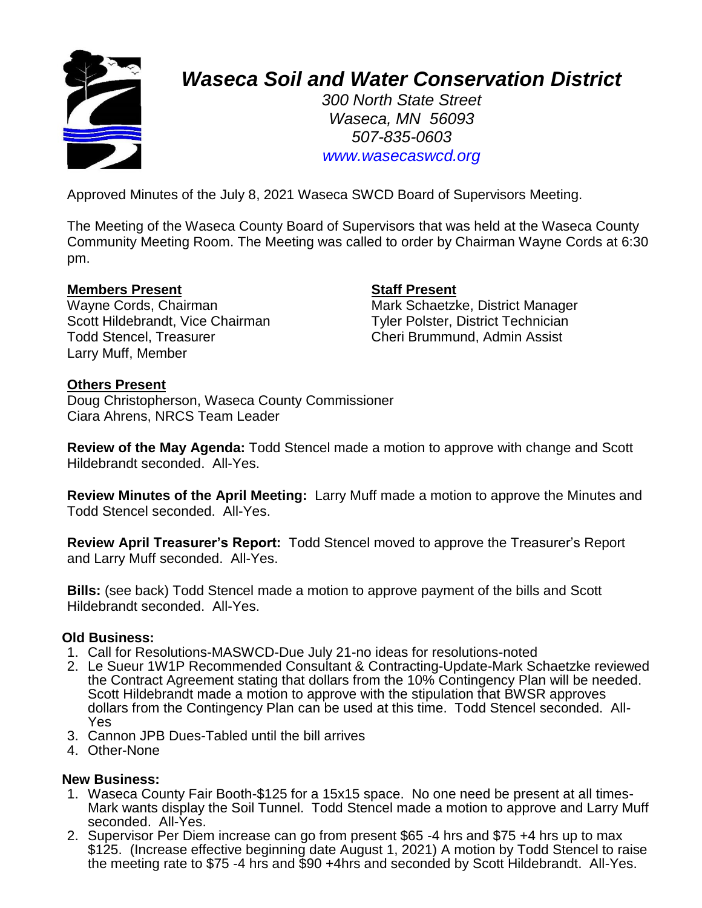

# *Waseca Soil and Water Conservation District*

*300 North State Street Waseca, MN 56093 507-835-0603 www.wasecaswcd.org*

Approved Minutes of the July 8, 2021 Waseca SWCD Board of Supervisors Meeting.

The Meeting of the Waseca County Board of Supervisors that was held at the Waseca County Community Meeting Room. The Meeting was called to order by Chairman Wayne Cords at 6:30 pm.

# **Members Present Staff Present**

Scott Hildebrandt, Vice Chairman Tyler Polster, District Technician Todd Stencel, Treasurer Cheri Brummund, Admin Assist Larry Muff, Member

Wayne Cords, Chairman Mark Schaetzke, District Manager

### **Others Present**

Doug Christopherson, Waseca County Commissioner Ciara Ahrens, NRCS Team Leader

**Review of the May Agenda:** Todd Stencel made a motion to approve with change and Scott Hildebrandt seconded. All-Yes.

**Review Minutes of the April Meeting:** Larry Muff made a motion to approve the Minutes and Todd Stencel seconded. All-Yes.

**Review April Treasurer's Report:** Todd Stencel moved to approve the Treasurer's Report and Larry Muff seconded. All-Yes.

**Bills:** (see back) Todd Stencel made a motion to approve payment of the bills and Scott Hildebrandt seconded. All-Yes.

### **Old Business:**

- 1. Call for Resolutions-MASWCD-Due July 21-no ideas for resolutions-noted
- 2. Le Sueur 1W1P Recommended Consultant & Contracting-Update-Mark Schaetzke reviewed the Contract Agreement stating that dollars from the 10% Contingency Plan will be needed. Scott Hildebrandt made a motion to approve with the stipulation that BWSR approves dollars from the Contingency Plan can be used at this time. Todd Stencel seconded. All-Yes
- 3. Cannon JPB Dues-Tabled until the bill arrives
- 4. Other-None

### **New Business:**

- 1. Waseca County Fair Booth-\$125 for a 15x15 space. No one need be present at all times-Mark wants display the Soil Tunnel. Todd Stencel made a motion to approve and Larry Muff seconded. All-Yes.
- 2. Supervisor Per Diem increase can go from present \$65 -4 hrs and \$75 +4 hrs up to max \$125. (Increase effective beginning date August 1, 2021) A motion by Todd Stencel to raise the meeting rate to \$75 -4 hrs and \$90 +4hrs and seconded by Scott Hildebrandt. All-Yes.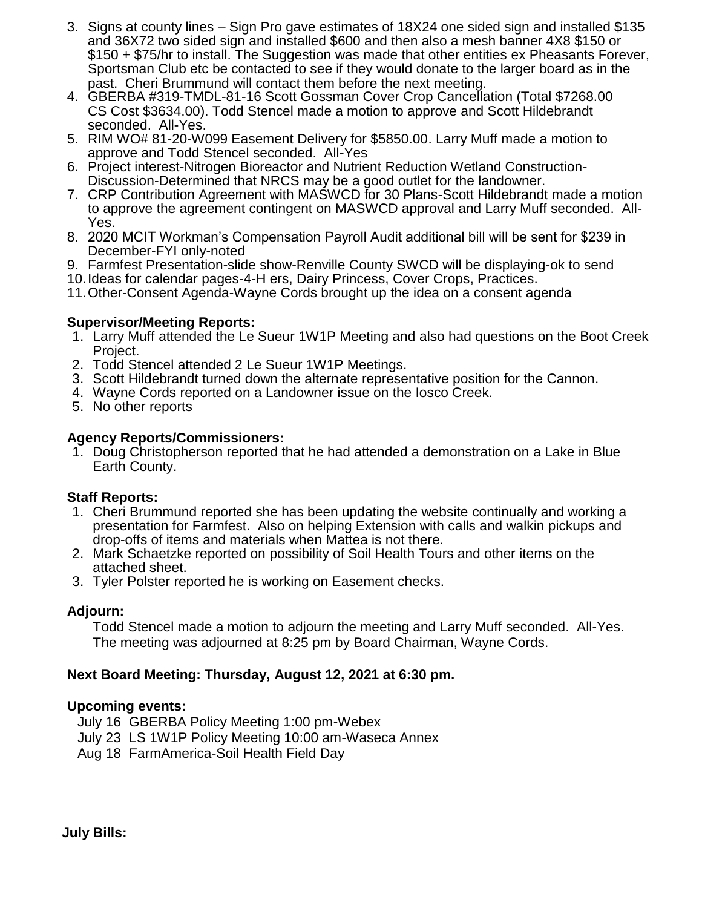- 3. Signs at county lines Sign Pro gave estimates of 18X24 one sided sign and installed \$135 and 36X72 two sided sign and installed \$600 and then also a mesh banner 4X8 \$150 or \$150 + \$75/hr to install. The Suggestion was made that other entities ex Pheasants Forever, Sportsman Club etc be contacted to see if they would donate to the larger board as in the past. Cheri Brummund will contact them before the next meeting.
- 4. GBERBA #319-TMDL-81-16 Scott Gossman Cover Crop Cancellation (Total \$7268.00 CS Cost \$3634.00). Todd Stencel made a motion to approve and Scott Hildebrandt seconded. All-Yes.
- 5. RIM WO# 81-20-W099 Easement Delivery for \$5850.00. Larry Muff made a motion to approve and Todd Stencel seconded. All-Yes
- 6. Project interest-Nitrogen Bioreactor and Nutrient Reduction Wetland Construction-Discussion-Determined that NRCS may be a good outlet for the landowner.
- 7. CRP Contribution Agreement with MASWCD for 30 Plans-Scott Hildebrandt made a motion to approve the agreement contingent on MASWCD approval and Larry Muff seconded. All-Yes.
- 8. 2020 MCIT Workman's Compensation Payroll Audit additional bill will be sent for \$239 in December-FYI only-noted
- 9. Farmfest Presentation-slide show-Renville County SWCD will be displaying-ok to send
- 10.Ideas for calendar pages-4-H ers, Dairy Princess, Cover Crops, Practices.
- 11.Other-Consent Agenda-Wayne Cords brought up the idea on a consent agenda

# **Supervisor/Meeting Reports:**

- 1. Larry Muff attended the Le Sueur 1W1P Meeting and also had questions on the Boot Creek Project.
- 2. Todd Stencel attended 2 Le Sueur 1W1P Meetings.
- 3. Scott Hildebrandt turned down the alternate representative position for the Cannon.
- 4. Wayne Cords reported on a Landowner issue on the Iosco Creek.
- 5. No other reports

# **Agency Reports/Commissioners:**

1. Doug Christopherson reported that he had attended a demonstration on a Lake in Blue Earth County.

# **Staff Reports:**

- 1. Cheri Brummund reported she has been updating the website continually and working a presentation for Farmfest. Also on helping Extension with calls and walkin pickups and drop-offs of items and materials when Mattea is not there.
- 2. Mark Schaetzke reported on possibility of Soil Health Tours and other items on the attached sheet.
- 3. Tyler Polster reported he is working on Easement checks.

# **Adjourn:**

Todd Stencel made a motion to adjourn the meeting and Larry Muff seconded. All-Yes. The meeting was adjourned at 8:25 pm by Board Chairman, Wayne Cords.

# **Next Board Meeting: Thursday, August 12, 2021 at 6:30 pm.**

# **Upcoming events:**

- July 16 GBERBA Policy Meeting 1:00 pm-Webex
- July 23 LS 1W1P Policy Meeting 10:00 am-Waseca Annex
- Aug 18 FarmAmerica-Soil Health Field Day

**July Bills:**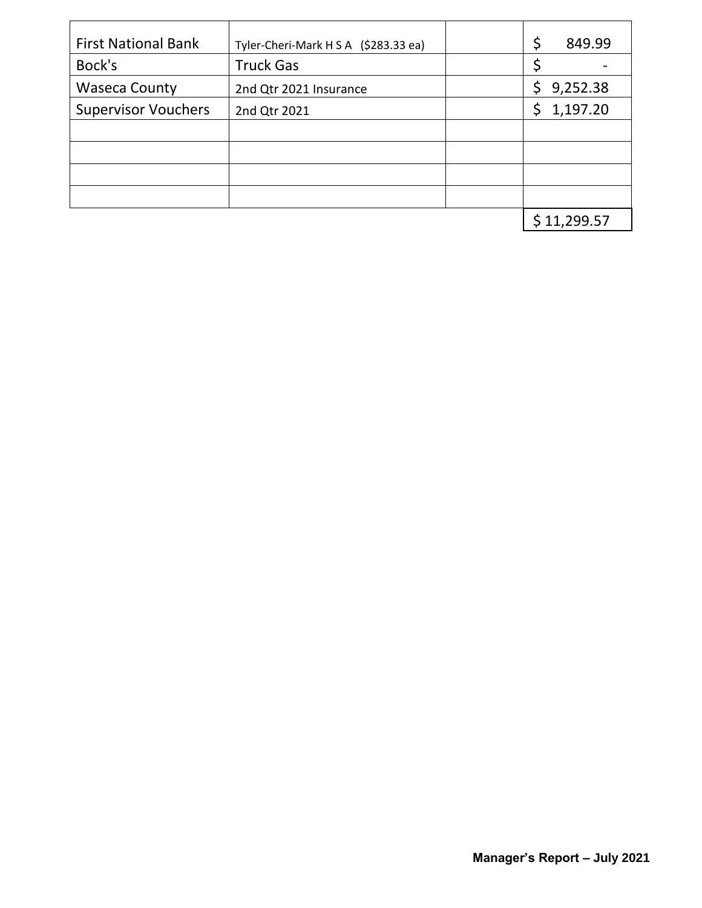| <b>First National Bank</b> | Tyler-Cheri-Mark H S A (\$283.33 ea) | \$  | 849.99     |
|----------------------------|--------------------------------------|-----|------------|
| Bock's                     | <b>Truck Gas</b>                     | \$  |            |
| <b>Waseca County</b>       | 2nd Qtr 2021 Insurance               | \$. | 9,252.38   |
| <b>Supervisor Vouchers</b> | 2nd Qtr 2021                         |     | \$1,197.20 |
|                            |                                      |     |            |
|                            |                                      |     |            |
|                            |                                      |     |            |
|                            |                                      |     |            |
|                            |                                      |     | 11,299.57  |